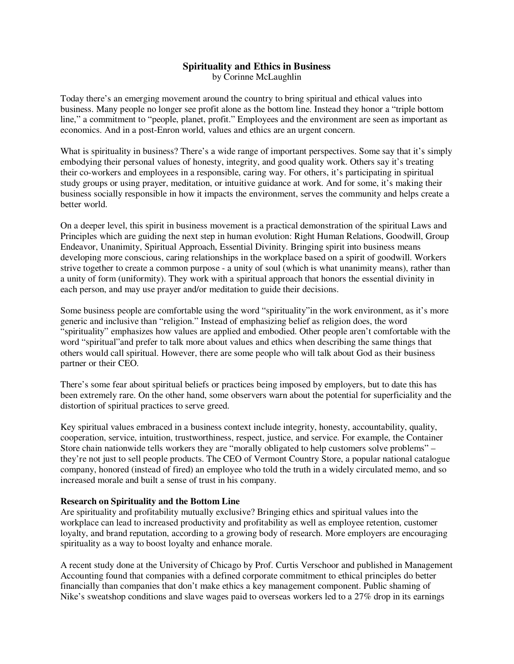# **Spirituality and Ethics in Business**

by Corinne McLaughlin

Today there's an emerging movement around the country to bring spiritual and ethical values into business. Many people no longer see profit alone as the bottom line. Instead they honor a "triple bottom line," a commitment to "people, planet, profit." Employees and the environment are seen as important as economics. And in a post-Enron world, values and ethics are an urgent concern.

What is spirituality in business? There's a wide range of important perspectives. Some say that it's simply embodying their personal values of honesty, integrity, and good quality work. Others say it's treating their co-workers and employees in a responsible, caring way. For others, it's participating in spiritual study groups or using prayer, meditation, or intuitive guidance at work. And for some, it's making their business socially responsible in how it impacts the environment, serves the community and helps create a better world.

On a deeper level, this spirit in business movement is a practical demonstration of the spiritual Laws and Principles which are guiding the next step in human evolution: Right Human Relations, Goodwill, Group Endeavor, Unanimity, Spiritual Approach, Essential Divinity. Bringing spirit into business means developing more conscious, caring relationships in the workplace based on a spirit of goodwill. Workers strive together to create a common purpose - a unity of soul (which is what unanimity means), rather than a unity of form (uniformity). They work with a spiritual approach that honors the essential divinity in each person, and may use prayer and/or meditation to guide their decisions.

Some business people are comfortable using the word "spirituality"in the work environment, as it's more generic and inclusive than "religion." Instead of emphasizing belief as religion does, the word "spirituality" emphasizes how values are applied and embodied. Other people aren't comfortable with the word "spiritual"and prefer to talk more about values and ethics when describing the same things that others would call spiritual. However, there are some people who will talk about God as their business partner or their CEO.

There's some fear about spiritual beliefs or practices being imposed by employers, but to date this has been extremely rare. On the other hand, some observers warn about the potential for superficiality and the distortion of spiritual practices to serve greed.

Key spiritual values embraced in a business context include integrity, honesty, accountability, quality, cooperation, service, intuition, trustworthiness, respect, justice, and service. For example, the Container Store chain nationwide tells workers they are "morally obligated to help customers solve problems" – they're not just to sell people products. The CEO of Vermont Country Store, a popular national catalogue company, honored (instead of fired) an employee who told the truth in a widely circulated memo, and so increased morale and built a sense of trust in his company.

## **Research on Spirituality and the Bottom Line**

Are spirituality and profitability mutually exclusive? Bringing ethics and spiritual values into the workplace can lead to increased productivity and profitability as well as employee retention, customer loyalty, and brand reputation, according to a growing body of research. More employers are encouraging spirituality as a way to boost loyalty and enhance morale.

A recent study done at the University of Chicago by Prof. Curtis Verschoor and published in Management Accounting found that companies with a defined corporate commitment to ethical principles do better financially than companies that don't make ethics a key management component. Public shaming of Nike's sweatshop conditions and slave wages paid to overseas workers led to a 27% drop in its earnings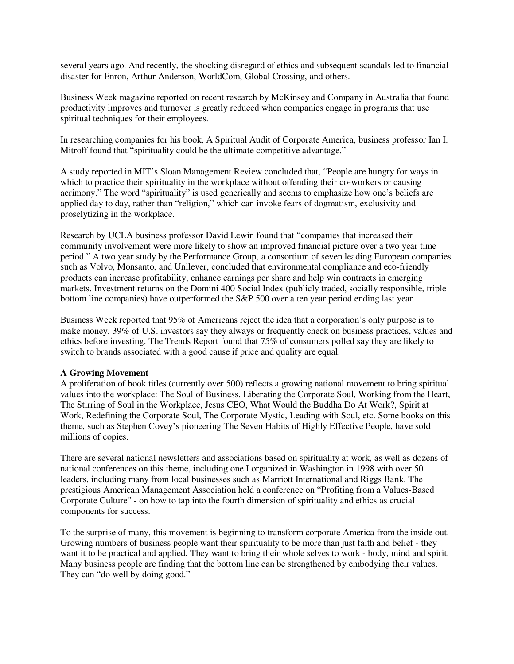several years ago. And recently, the shocking disregard of ethics and subsequent scandals led to financial disaster for Enron, Arthur Anderson, WorldCom, Global Crossing, and others.

Business Week magazine reported on recent research by McKinsey and Company in Australia that found productivity improves and turnover is greatly reduced when companies engage in programs that use spiritual techniques for their employees.

In researching companies for his book, A Spiritual Audit of Corporate America, business professor Ian I. Mitroff found that "spirituality could be the ultimate competitive advantage."

A study reported in MIT's Sloan Management Review concluded that, "People are hungry for ways in which to practice their spirituality in the workplace without offending their co-workers or causing acrimony." The word "spirituality" is used generically and seems to emphasize how one's beliefs are applied day to day, rather than "religion," which can invoke fears of dogmatism, exclusivity and proselytizing in the workplace.

Research by UCLA business professor David Lewin found that "companies that increased their community involvement were more likely to show an improved financial picture over a two year time period." A two year study by the Performance Group, a consortium of seven leading European companies such as Volvo, Monsanto, and Unilever, concluded that environmental compliance and eco-friendly products can increase profitability, enhance earnings per share and help win contracts in emerging markets. Investment returns on the Domini 400 Social Index (publicly traded, socially responsible, triple bottom line companies) have outperformed the S&P 500 over a ten year period ending last year.

Business Week reported that 95% of Americans reject the idea that a corporation's only purpose is to make money. 39% of U.S. investors say they always or frequently check on business practices, values and ethics before investing. The Trends Report found that 75% of consumers polled say they are likely to switch to brands associated with a good cause if price and quality are equal.

## **A Growing Movement**

A proliferation of book titles (currently over 500) reflects a growing national movement to bring spiritual values into the workplace: The Soul of Business, Liberating the Corporate Soul, Working from the Heart, The Stirring of Soul in the Workplace, Jesus CEO, What Would the Buddha Do At Work?, Spirit at Work, Redefining the Corporate Soul, The Corporate Mystic, Leading with Soul, etc. Some books on this theme, such as Stephen Covey's pioneering The Seven Habits of Highly Effective People, have sold millions of copies.

There are several national newsletters and associations based on spirituality at work, as well as dozens of national conferences on this theme, including one I organized in Washington in 1998 with over 50 leaders, including many from local businesses such as Marriott International and Riggs Bank. The prestigious American Management Association held a conference on "Profiting from a Values-Based Corporate Culture" - on how to tap into the fourth dimension of spirituality and ethics as crucial components for success.

To the surprise of many, this movement is beginning to transform corporate America from the inside out. Growing numbers of business people want their spirituality to be more than just faith and belief - they want it to be practical and applied. They want to bring their whole selves to work - body, mind and spirit. Many business people are finding that the bottom line can be strengthened by embodying their values. They can "do well by doing good."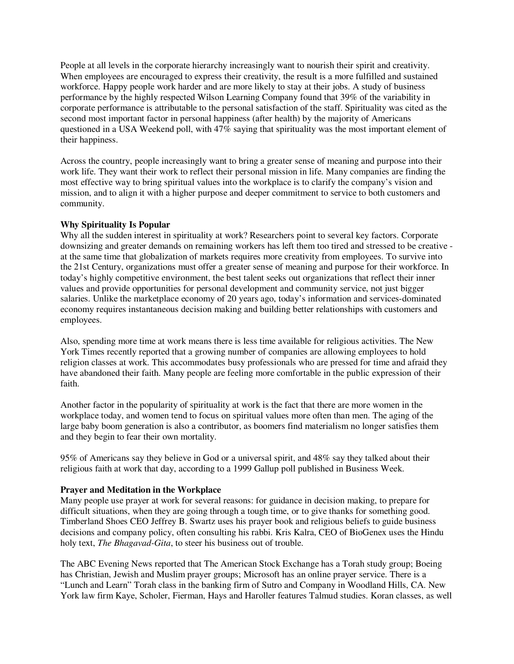People at all levels in the corporate hierarchy increasingly want to nourish their spirit and creativity. When employees are encouraged to express their creativity, the result is a more fulfilled and sustained workforce. Happy people work harder and are more likely to stay at their jobs. A study of business performance by the highly respected Wilson Learning Company found that 39% of the variability in corporate performance is attributable to the personal satisfaction of the staff. Spirituality was cited as the second most important factor in personal happiness (after health) by the majority of Americans questioned in a USA Weekend poll, with 47% saying that spirituality was the most important element of their happiness.

Across the country, people increasingly want to bring a greater sense of meaning and purpose into their work life. They want their work to reflect their personal mission in life. Many companies are finding the most effective way to bring spiritual values into the workplace is to clarify the company's vision and mission, and to align it with a higher purpose and deeper commitment to service to both customers and community.

## **Why Spirituality Is Popular**

Why all the sudden interest in spirituality at work? Researchers point to several key factors. Corporate downsizing and greater demands on remaining workers has left them too tired and stressed to be creative at the same time that globalization of markets requires more creativity from employees. To survive into the 21st Century, organizations must offer a greater sense of meaning and purpose for their workforce. In today's highly competitive environment, the best talent seeks out organizations that reflect their inner values and provide opportunities for personal development and community service, not just bigger salaries. Unlike the marketplace economy of 20 years ago, today's information and services-dominated economy requires instantaneous decision making and building better relationships with customers and employees.

Also, spending more time at work means there is less time available for religious activities. The New York Times recently reported that a growing number of companies are allowing employees to hold religion classes at work. This accommodates busy professionals who are pressed for time and afraid they have abandoned their faith. Many people are feeling more comfortable in the public expression of their faith.

Another factor in the popularity of spirituality at work is the fact that there are more women in the workplace today, and women tend to focus on spiritual values more often than men. The aging of the large baby boom generation is also a contributor, as boomers find materialism no longer satisfies them and they begin to fear their own mortality.

95% of Americans say they believe in God or a universal spirit, and 48% say they talked about their religious faith at work that day, according to a 1999 Gallup poll published in Business Week.

## **Prayer and Meditation in the Workplace**

Many people use prayer at work for several reasons: for guidance in decision making, to prepare for difficult situations, when they are going through a tough time, or to give thanks for something good. Timberland Shoes CEO Jeffrey B. Swartz uses his prayer book and religious beliefs to guide business decisions and company policy, often consulting his rabbi. Kris Kalra, CEO of BioGenex uses the Hindu holy text, *The Bhagavad-Gita*, to steer his business out of trouble.

The ABC Evening News reported that The American Stock Exchange has a Torah study group; Boeing has Christian, Jewish and Muslim prayer groups; Microsoft has an online prayer service. There is a "Lunch and Learn" Torah class in the banking firm of Sutro and Company in Woodland Hills, CA. New York law firm Kaye, Scholer, Fierman, Hays and Haroller features Talmud studies. Koran classes, as well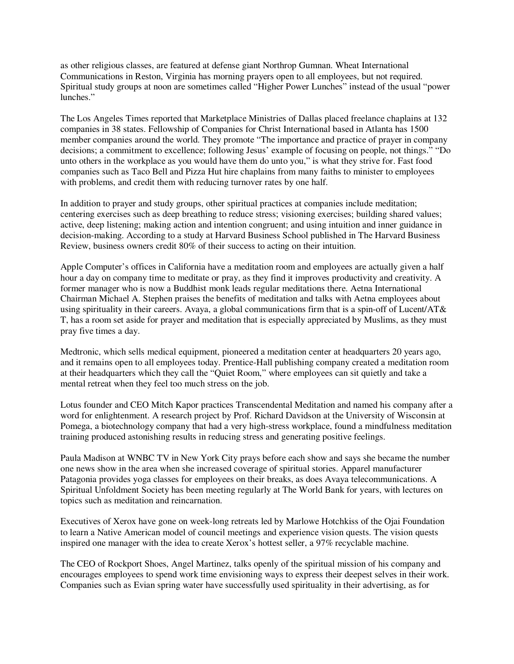as other religious classes, are featured at defense giant Northrop Gumnan. Wheat International Communications in Reston, Virginia has morning prayers open to all employees, but not required. Spiritual study groups at noon are sometimes called "Higher Power Lunches" instead of the usual "power lunches."

The Los Angeles Times reported that Marketplace Ministries of Dallas placed freelance chaplains at 132 companies in 38 states. Fellowship of Companies for Christ International based in Atlanta has 1500 member companies around the world. They promote "The importance and practice of prayer in company decisions; a commitment to excellence; following Jesus' example of focusing on people, not things." "Do unto others in the workplace as you would have them do unto you," is what they strive for. Fast food companies such as Taco Bell and Pizza Hut hire chaplains from many faiths to minister to employees with problems, and credit them with reducing turnover rates by one half.

In addition to prayer and study groups, other spiritual practices at companies include meditation; centering exercises such as deep breathing to reduce stress; visioning exercises; building shared values; active, deep listening; making action and intention congruent; and using intuition and inner guidance in decision-making. According to a study at Harvard Business School published in The Harvard Business Review, business owners credit 80% of their success to acting on their intuition.

Apple Computer's offices in California have a meditation room and employees are actually given a half hour a day on company time to meditate or pray, as they find it improves productivity and creativity. A former manager who is now a Buddhist monk leads regular meditations there. Aetna International Chairman Michael A. Stephen praises the benefits of meditation and talks with Aetna employees about using spirituality in their careers. Avaya, a global communications firm that is a spin-off of Lucent/AT& T, has a room set aside for prayer and meditation that is especially appreciated by Muslims, as they must pray five times a day.

Medtronic, which sells medical equipment, pioneered a meditation center at headquarters 20 years ago, and it remains open to all employees today. Prentice-Hall publishing company created a meditation room at their headquarters which they call the "Quiet Room," where employees can sit quietly and take a mental retreat when they feel too much stress on the job.

Lotus founder and CEO Mitch Kapor practices Transcendental Meditation and named his company after a word for enlightenment. A research project by Prof. Richard Davidson at the University of Wisconsin at Pomega, a biotechnology company that had a very high-stress workplace, found a mindfulness meditation training produced astonishing results in reducing stress and generating positive feelings.

Paula Madison at WNBC TV in New York City prays before each show and says she became the number one news show in the area when she increased coverage of spiritual stories. Apparel manufacturer Patagonia provides yoga classes for employees on their breaks, as does Avaya telecommunications. A Spiritual Unfoldment Society has been meeting regularly at The World Bank for years, with lectures on topics such as meditation and reincarnation.

Executives of Xerox have gone on week-long retreats led by Marlowe Hotchkiss of the Ojai Foundation to learn a Native American model of council meetings and experience vision quests. The vision quests inspired one manager with the idea to create Xerox's hottest seller, a 97% recyclable machine.

The CEO of Rockport Shoes, Angel Martinez, talks openly of the spiritual mission of his company and encourages employees to spend work time envisioning ways to express their deepest selves in their work. Companies such as Evian spring water have successfully used spirituality in their advertising, as for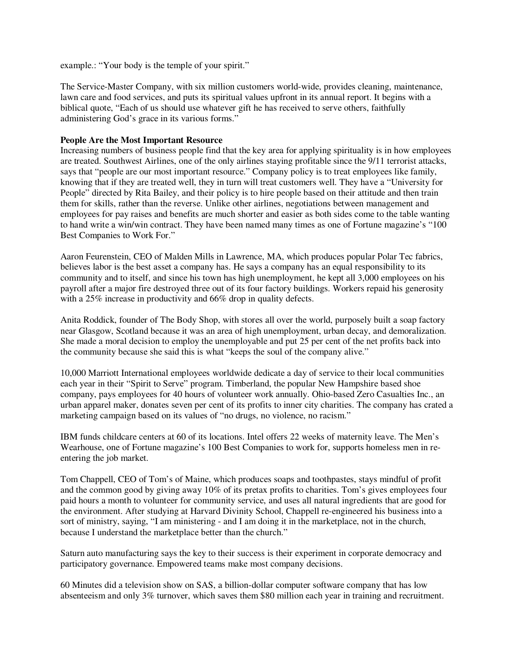example.: "Your body is the temple of your spirit."

The Service-Master Company, with six million customers world-wide, provides cleaning, maintenance, lawn care and food services, and puts its spiritual values upfront in its annual report. It begins with a biblical quote, "Each of us should use whatever gift he has received to serve others, faithfully administering God's grace in its various forms."

## **People Are the Most Important Resource**

Increasing numbers of business people find that the key area for applying spirituality is in how employees are treated. Southwest Airlines, one of the only airlines staying profitable since the 9/11 terrorist attacks, says that "people are our most important resource." Company policy is to treat employees like family, knowing that if they are treated well, they in turn will treat customers well. They have a "University for People" directed by Rita Bailey, and their policy is to hire people based on their attitude and then train them for skills, rather than the reverse. Unlike other airlines, negotiations between management and employees for pay raises and benefits are much shorter and easier as both sides come to the table wanting to hand write a win/win contract. They have been named many times as one of Fortune magazine's "100 Best Companies to Work For."

Aaron Feurenstein, CEO of Malden Mills in Lawrence, MA, which produces popular Polar Tec fabrics, believes labor is the best asset a company has. He says a company has an equal responsibility to its community and to itself, and since his town has high unemployment, he kept all 3,000 employees on his payroll after a major fire destroyed three out of its four factory buildings. Workers repaid his generosity with a 25% increase in productivity and 66% drop in quality defects.

Anita Roddick, founder of The Body Shop, with stores all over the world, purposely built a soap factory near Glasgow, Scotland because it was an area of high unemployment, urban decay, and demoralization. She made a moral decision to employ the unemployable and put 25 per cent of the net profits back into the community because she said this is what "keeps the soul of the company alive."

10,000 Marriott International employees worldwide dedicate a day of service to their local communities each year in their "Spirit to Serve" program. Timberland, the popular New Hampshire based shoe company, pays employees for 40 hours of volunteer work annually. Ohio-based Zero Casualties Inc., an urban apparel maker, donates seven per cent of its profits to inner city charities. The company has crated a marketing campaign based on its values of "no drugs, no violence, no racism."

IBM funds childcare centers at 60 of its locations. Intel offers 22 weeks of maternity leave. The Men's Wearhouse, one of Fortune magazine's 100 Best Companies to work for, supports homeless men in reentering the job market.

Tom Chappell, CEO of Tom's of Maine, which produces soaps and toothpastes, stays mindful of profit and the common good by giving away 10% of its pretax profits to charities. Tom's gives employees four paid hours a month to volunteer for community service, and uses all natural ingredients that are good for the environment. After studying at Harvard Divinity School, Chappell re-engineered his business into a sort of ministry, saying, "I am ministering - and I am doing it in the marketplace, not in the church, because I understand the marketplace better than the church."

Saturn auto manufacturing says the key to their success is their experiment in corporate democracy and participatory governance. Empowered teams make most company decisions.

60 Minutes did a television show on SAS, a billion-dollar computer software company that has low absenteeism and only 3% turnover, which saves them \$80 million each year in training and recruitment.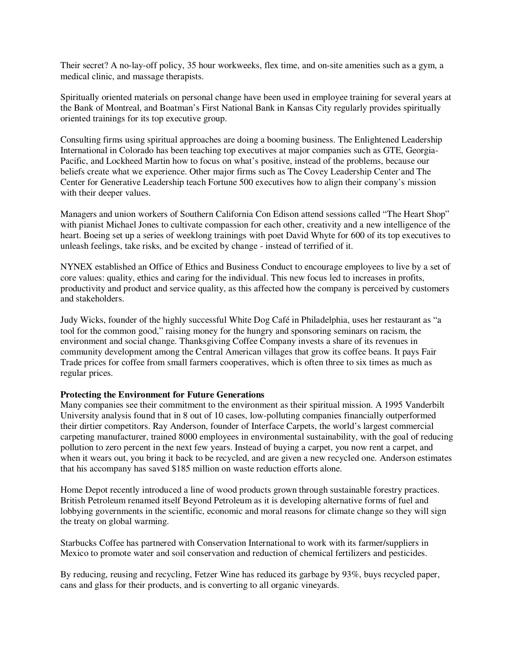Their secret? A no-lay-off policy, 35 hour workweeks, flex time, and on-site amenities such as a gym, a medical clinic, and massage therapists.

Spiritually oriented materials on personal change have been used in employee training for several years at the Bank of Montreal, and Boatman's First National Bank in Kansas City regularly provides spiritually oriented trainings for its top executive group.

Consulting firms using spiritual approaches are doing a booming business. The Enlightened Leadership International in Colorado has been teaching top executives at major companies such as GTE, Georgia-Pacific, and Lockheed Martin how to focus on what's positive, instead of the problems, because our beliefs create what we experience. Other major firms such as The Covey Leadership Center and The Center for Generative Leadership teach Fortune 500 executives how to align their company's mission with their deeper values.

Managers and union workers of Southern California Con Edison attend sessions called "The Heart Shop" with pianist Michael Jones to cultivate compassion for each other, creativity and a new intelligence of the heart. Boeing set up a series of weeklong trainings with poet David Whyte for 600 of its top executives to unleash feelings, take risks, and be excited by change - instead of terrified of it.

NYNEX established an Office of Ethics and Business Conduct to encourage employees to live by a set of core values: quality, ethics and caring for the individual. This new focus led to increases in profits, productivity and product and service quality, as this affected how the company is perceived by customers and stakeholders.

Judy Wicks, founder of the highly successful White Dog Café in Philadelphia, uses her restaurant as "a tool for the common good," raising money for the hungry and sponsoring seminars on racism, the environment and social change. Thanksgiving Coffee Company invests a share of its revenues in community development among the Central American villages that grow its coffee beans. It pays Fair Trade prices for coffee from small farmers cooperatives, which is often three to six times as much as regular prices.

## **Protecting the Environment for Future Generations**

Many companies see their commitment to the environment as their spiritual mission. A 1995 Vanderbilt University analysis found that in 8 out of 10 cases, low-polluting companies financially outperformed their dirtier competitors. Ray Anderson, founder of Interface Carpets, the world's largest commercial carpeting manufacturer, trained 8000 employees in environmental sustainability, with the goal of reducing pollution to zero percent in the next few years. Instead of buying a carpet, you now rent a carpet, and when it wears out, you bring it back to be recycled, and are given a new recycled one. Anderson estimates that his accompany has saved \$185 million on waste reduction efforts alone.

Home Depot recently introduced a line of wood products grown through sustainable forestry practices. British Petroleum renamed itself Beyond Petroleum as it is developing alternative forms of fuel and lobbying governments in the scientific, economic and moral reasons for climate change so they will sign the treaty on global warming.

Starbucks Coffee has partnered with Conservation International to work with its farmer/suppliers in Mexico to promote water and soil conservation and reduction of chemical fertilizers and pesticides.

By reducing, reusing and recycling, Fetzer Wine has reduced its garbage by 93%, buys recycled paper, cans and glass for their products, and is converting to all organic vineyards.